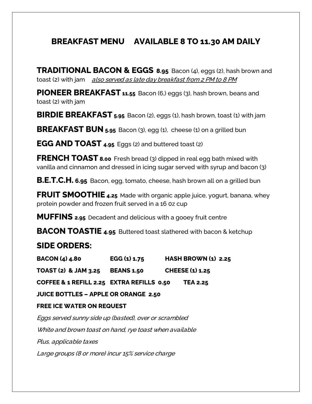# **BREAKFAST MENU AVAILABLE 8 TO 11.30 AM DAILY**

**TRADITIONAL BACON & EGGS 8.95** Bacon (4), eggs (2), hash brown and toast (2) with jam also served as late day breakfast from 2 PM to 8 PM

**PIONEER BREAKFAST 11.55** Bacon (6,) eggs (3), hash brown, beans and toast (2) with jam

**BIRDIE BREAKFAST 5.95** Bacon (2), eggs (1), hash brown, toast (1) with jam

**BREAKFAST BUN 5.95** Bacon (3), egg (1), cheese (1) on a grilled bun

**EGG AND TOAST 4.95** Eggs (2) and buttered toast (2)

**FRENCH TOAST 8.00** Fresh bread (3) dipped in real egg bath mixed with vanilla and cinnamon and dressed in icing sugar served with syrup and bacon (3)

**B.E.T.C.H. 6.95** Bacon, egg, tomato, cheese, hash brown all on a grilled bun

**FRUIT SMOOTHIE 4.25** Made with organic apple juice, yogurt, banana, whey protein powder and frozen fruit served in a 16 0z cup

**MUFFINS 2.95** Decadent and delicious with a gooey fruit centre

**BACON TOASTIE 4.95** Buttered toast slathered with bacon & ketchup

# **SIDE ORDERS:**

**BACON (4) 4.80 EGG (1) 1.75 HASH BROWN (1) 2.25** 

**TOAST (2) & JAM 3.25 BEANS 1.50 CHEESE (1) 1.25**

**COFFEE & 1 REFILL 2.25 EXTRA REFILLS 0.50 TEA 2.25**

**JUICE BOTTLES – APPLE OR ORANGE 2.50**

#### **FREE ICE WATER ON REQUEST**

Eggs served sunny side up (basted), over or scrambled White and brown toast on hand, rye toast when available Plus, applicable taxes

Large groups (8 or more) incur 15% service charge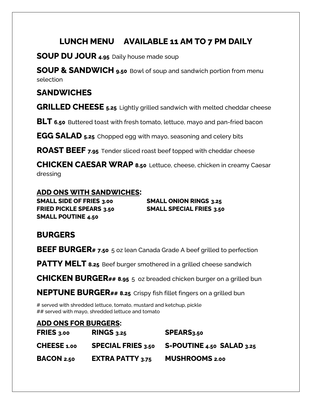# **LUNCH MENU AVAILABLE 11 AM TO 7 PM DAILY**

**SOUP DU JOUR 4.95** Daily house made soup

**SOUP & SANDWICH 9.50** Bowl of soup and sandwich portion from menu selection

## **SANDWICHES**

**GRILLED CHEESE 5.25** Lightly grilled sandwich with melted cheddar cheese

**BLT 6.50** Buttered toast with fresh tomato, lettuce, mayo and pan-fried bacon

**EGG SALAD 5.25** Chopped egg with mayo, seasoning and celery bits

**ROAST BEEF 7.95** Tender sliced roast beef topped with cheddar cheese

**CHICKEN CAESAR WRAP 8.50** Lettuce, cheese, chicken in creamy Caesar dressing

#### **ADD ONS WITH SANDWICHES:**

**SMALL SIDE OF FRIES 3.00 SMALL ONION RINGS 3.25 FRIED PICKLE SPEARS 3.50 SMALL SPECIAL FRIES 3.50 SMALL POUTINE 4.50**

# **BURGERS**

**BEEF BURGER# 7.50** 5 oz lean Canada Grade A beef grilled to perfection

**PATTY MELT 8.25** Beef burger smothered in a grilled cheese sandwich

**CHICKEN BURGER## 8.95** 5 oz breaded chicken burger on a grilled bun

**NEPTUNE BURGER## 8.25** Crispy fish fillet fingers on a grilled bun

# served with shredded lettuce, tomato, mustard and ketchup, pickle ## served with mayo, shredded lettuce and tomato

### **ADD ONS FOR BURGERS:**

| <b>FRIES</b> 3.00 | $RINGS_{3.25}$            | SPEARS <sub>3.50</sub>    |
|-------------------|---------------------------|---------------------------|
| CHEESE 1.00       | <b>SPECIAL FRIES 3.50</b> | S-POUTINE 4.50 SALAD 3.25 |
| <b>BACON 2.50</b> | <b>EXTRA PATTY 3.75</b>   | <b>MUSHROOMS 2.00</b>     |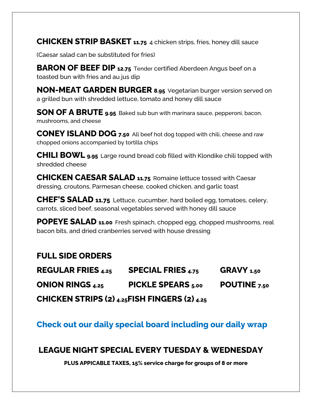**CHICKEN STRIP BASKET 11.75** 4 chicken strips, fries, honey dill sauce

(Caesar salad can be substituted for fries)

**BARON OF BEEF DIP 12.75** Tender certified Aberdeen Angus beef on a toasted bun with fries and au jus dip

**NON-MEAT GARDEN BURGER 8.95** Vegetarian burger version served on a grilled bun with shredded lettuce, tomato and honey dill sauce

**SON OF A BRUTE 9.95** Baked sub bun with marinara sauce, pepperoni, bacon, mushrooms, and cheese

**CONEY ISLAND DOG 7.50** All beef hot dog topped with chili, cheese and raw chopped onions accompanied by tortilla chips

**CHILI BOWL 9.95** Large round bread cob filled with Klondike chili topped with shredded cheese

**CHICKEN CAESAR SALAD 11.75** Romaine lettuce tossed with Caesar dressing, croutons, Parmesan cheese, cooked chicken, and garlic toast

**CHEF'S SALAD 11.75** Lettuce, cucumber, hard boiled egg, tomatoes, celery, carrots, sliced beef, seasonal vegetables served with honey dill sauce

**POPEYE SALAD 11.00** Fresh spinach, chopped egg, chopped mushrooms, real bacon bits, and dried cranberries served with house dressing

### **FULL SIDE ORDERS**

| <b>REGULAR FRIES 4.25</b>                               | <b>SPECIAL FRIES 4.75</b> | GRAVY 1.50   |  |  |
|---------------------------------------------------------|---------------------------|--------------|--|--|
| <b>ONION RINGS 4.25</b>                                 | <b>PICKLE SPEARS</b> 5.00 | POUTINE 7.50 |  |  |
| CHICKEN STRIPS (2) $_{4.25}$ FISH FINGERS (2) $_{4.25}$ |                           |              |  |  |

**Check out our daily special board including our daily wrap**

### **LEAGUE NIGHT SPECIAL EVERY TUESDAY & WEDNESDAY**

**PLUS APPICABLE TAXES, 15% service charge for groups of 8 or more**